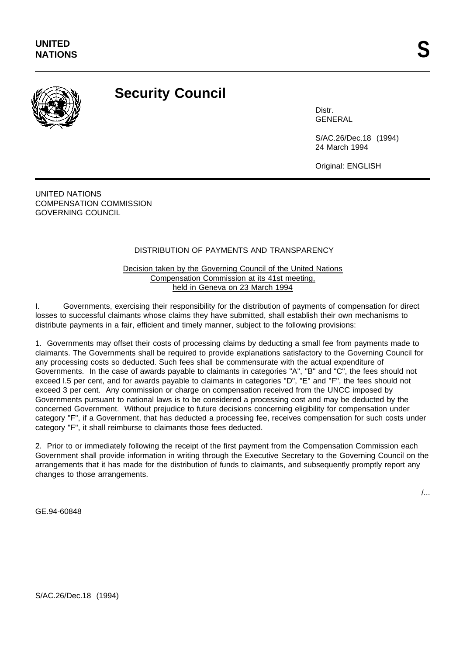

## **Security Council**

**Distr** GENERAL

S/AC.26/Dec.18 (1994) 24 March 1994

Original: ENGLISH

UNITED NATIONS COMPENSATION COMMISSION GOVERNING COUNCIL

## DISTRIBUTION OF PAYMENTS AND TRANSPARENCY

Decision taken by the Governing Council of the United Nations Compensation Commission at its 41st meeting, held in Geneva on 23 March 1994

I. Governments, exercising their responsibility for the distribution of payments of compensation for direct losses to successful claimants whose claims they have submitted, shall establish their own mechanisms to distribute payments in a fair, efficient and timely manner, subject to the following provisions:

1. Governments may offset their costs of processing claims by deducting a small fee from payments made to claimants. The Governments shall be required to provide explanations satisfactory to the Governing Council for any processing costs so deducted. Such fees shall be commensurate with the actual expenditure of Governments. In the case of awards payable to claimants in categories "A", "B" and "C", the fees should not exceed l.5 per cent, and for awards payable to claimants in categories "D", "E" and "F", the fees should not exceed 3 per cent. Any commission or charge on compensation received from the UNCC imposed by Governments pursuant to national laws is to be considered a processing cost and may be deducted by the concerned Government. Without prejudice to future decisions concerning eligibility for compensation under category "F", if a Government, that has deducted a processing fee, receives compensation for such costs under category "F", it shall reimburse to claimants those fees deducted.

2. Prior to or immediately following the receipt of the first payment from the Compensation Commission each Government shall provide information in writing through the Executive Secretary to the Governing Council on the arrangements that it has made for the distribution of funds to claimants, and subsequently promptly report any changes to those arrangements.

/...

GE.94-60848